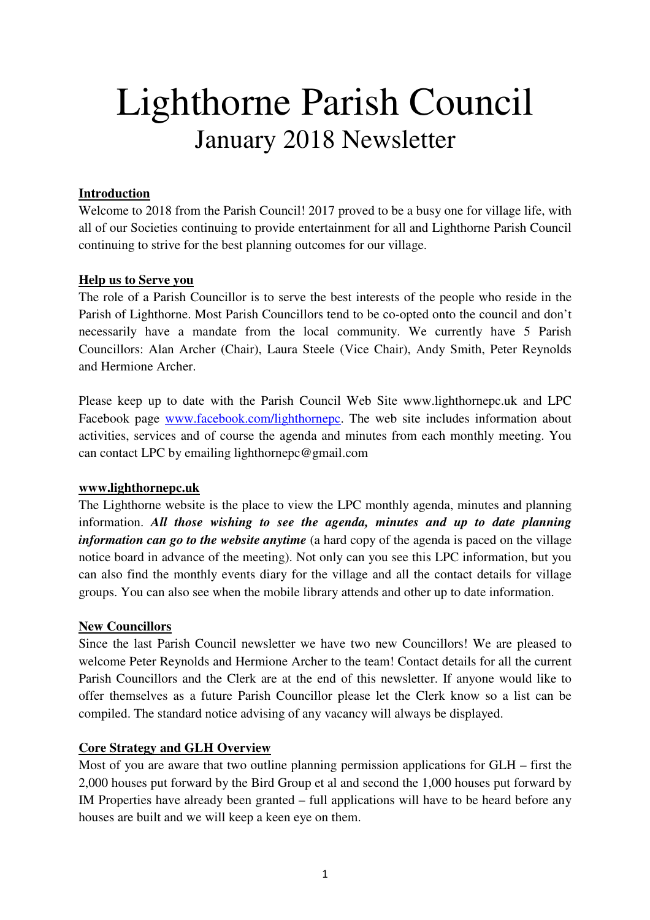# Lighthorne Parish Council January 2018 Newsletter

# **Introduction**

Welcome to 2018 from the Parish Council! 2017 proved to be a busy one for village life, with all of our Societies continuing to provide entertainment for all and Lighthorne Parish Council continuing to strive for the best planning outcomes for our village.

#### **Help us to Serve you**

The role of a Parish Councillor is to serve the best interests of the people who reside in the Parish of Lighthorne. Most Parish Councillors tend to be co-opted onto the council and don't necessarily have a mandate from the local community. We currently have 5 Parish Councillors: Alan Archer (Chair), Laura Steele (Vice Chair), Andy Smith, Peter Reynolds and Hermione Archer.

Please keep up to date with the Parish Council Web Site www.lighthornepc.uk and LPC Facebook page www.facebook.com/lighthornepc. The web site includes information about activities, services and of course the agenda and minutes from each monthly meeting. You can contact LPC by emailing lighthornepc@gmail.com

#### **www.lighthornepc.uk**

The Lighthorne website is the place to view the LPC monthly agenda, minutes and planning information. *All those wishing to see the agenda, minutes and up to date planning information can go to the website anytime* (a hard copy of the agenda is paced on the village notice board in advance of the meeting). Not only can you see this LPC information, but you can also find the monthly events diary for the village and all the contact details for village groups. You can also see when the mobile library attends and other up to date information.

#### **New Councillors**

Since the last Parish Council newsletter we have two new Councillors! We are pleased to welcome Peter Reynolds and Hermione Archer to the team! Contact details for all the current Parish Councillors and the Clerk are at the end of this newsletter. If anyone would like to offer themselves as a future Parish Councillor please let the Clerk know so a list can be compiled. The standard notice advising of any vacancy will always be displayed.

#### **Core Strategy and GLH Overview**

Most of you are aware that two outline planning permission applications for GLH – first the 2,000 houses put forward by the Bird Group et al and second the 1,000 houses put forward by IM Properties have already been granted – full applications will have to be heard before any houses are built and we will keep a keen eye on them.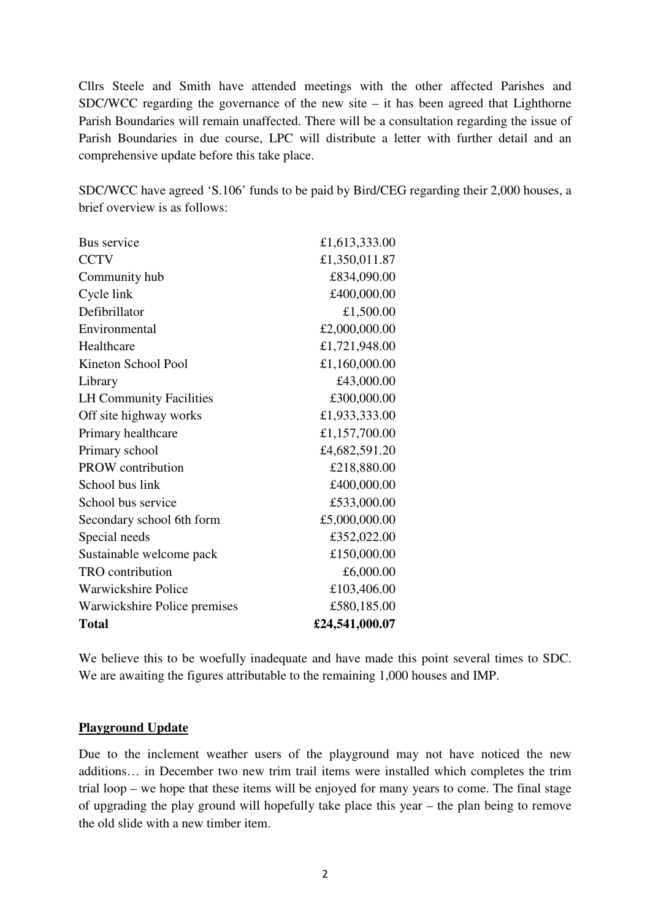Cllrs Steele and Smith have attended meetings with the other affected Parishes and SDC/WCC regarding the governance of the new site  $-$  it has been agreed that Lighthorne Parish Boundaries will remain unaffected. There will be a consultation regarding the issue of Parish Boundaries in due course, LPC will distribute a letter with further detail and an comprehensive update before this take place.

SDC/WCC have agreed 'S.106' funds to be paid by Bird/CEG regarding their 2,000 houses, a brief overview is as follows:

| Bus service                    | £1,613,333.00  |
|--------------------------------|----------------|
| <b>CCTV</b>                    | £1,350,011.87  |
| Community hub                  | £834,090.00    |
| Cycle link                     | £400,000.00    |
| Defibrillator                  | £1,500.00      |
| Environmental                  | £2,000,000.00  |
| Healthcare                     | £1,721,948.00  |
| Kineton School Pool            | £1,160,000.00  |
| Library                        | £43,000.00     |
| <b>LH Community Facilities</b> | £300,000.00    |
| Off site highway works         | £1,933,333.00  |
| Primary healthcare             | £1,157,700.00  |
| Primary school                 | £4,682,591.20  |
| <b>PROW</b> contribution       | £218,880.00    |
| School bus link                | £400,000.00    |
| School bus service             | £533,000.00    |
| Secondary school 6th form      | £5,000,000.00  |
| Special needs                  | £352,022.00    |
| Sustainable welcome pack       | £150,000.00    |
| <b>TRO</b> contribution        | £6,000.00      |
| <b>Warwickshire Police</b>     | £103,406.00    |
| Warwickshire Police premises   | £580,185.00    |
| <b>Total</b>                   | £24,541,000.07 |

We believe this to be woefully inadequate and have made this point several times to SDC. We are awaiting the figures attributable to the remaining 1,000 houses and IMP.

#### **Playground Update**

Due to the inclement weather users of the playground may not have noticed the new additions… in December two new trim trail items were installed which completes the trim trial loop – we hope that these items will be enjoyed for many years to come. The final stage of upgrading the play ground will hopefully take place this year – the plan being to remove the old slide with a new timber item.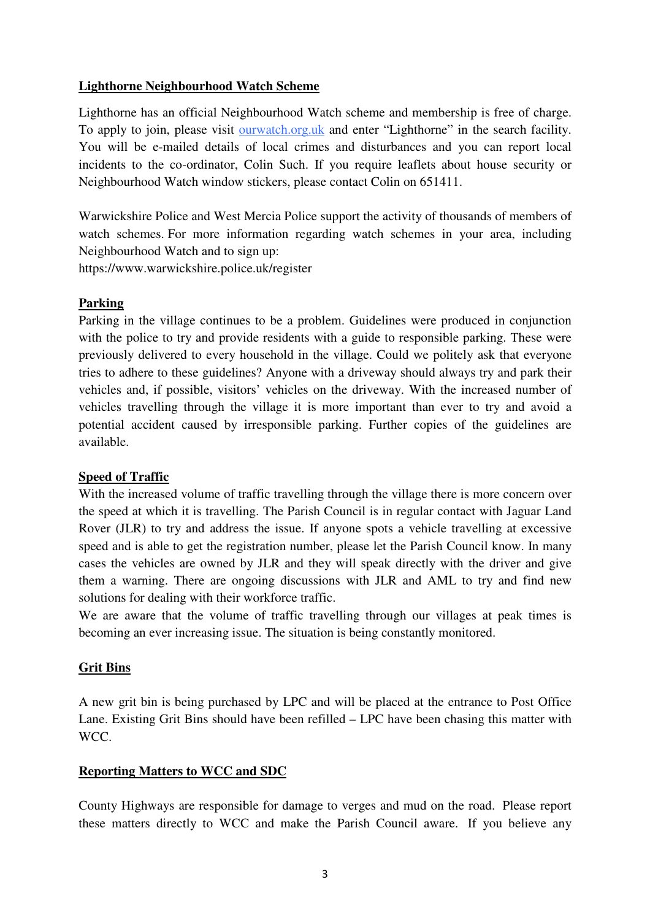# **Lighthorne Neighbourhood Watch Scheme**

Lighthorne has an official Neighbourhood Watch scheme and membership is free of charge. To apply to join, please visit ourwatch.org.uk and enter "Lighthorne" in the search facility. You will be e-mailed details of local crimes and disturbances and you can report local incidents to the co-ordinator, Colin Such. If you require leaflets about house security or Neighbourhood Watch window stickers, please contact Colin on 651411.

Warwickshire Police and West Mercia Police support the activity of thousands of members of watch schemes. For more information regarding watch schemes in your area, including Neighbourhood Watch and to sign up:

https://www.warwickshire.police.uk/register

# **Parking**

Parking in the village continues to be a problem. Guidelines were produced in conjunction with the police to try and provide residents with a guide to responsible parking. These were previously delivered to every household in the village. Could we politely ask that everyone tries to adhere to these guidelines? Anyone with a driveway should always try and park their vehicles and, if possible, visitors' vehicles on the driveway. With the increased number of vehicles travelling through the village it is more important than ever to try and avoid a potential accident caused by irresponsible parking. Further copies of the guidelines are available.

#### **Speed of Traffic**

With the increased volume of traffic travelling through the village there is more concern over the speed at which it is travelling. The Parish Council is in regular contact with Jaguar Land Rover (JLR) to try and address the issue. If anyone spots a vehicle travelling at excessive speed and is able to get the registration number, please let the Parish Council know. In many cases the vehicles are owned by JLR and they will speak directly with the driver and give them a warning. There are ongoing discussions with JLR and AML to try and find new solutions for dealing with their workforce traffic.

We are aware that the volume of traffic travelling through our villages at peak times is becoming an ever increasing issue. The situation is being constantly monitored.

# **Grit Bins**

A new grit bin is being purchased by LPC and will be placed at the entrance to Post Office Lane. Existing Grit Bins should have been refilled – LPC have been chasing this matter with WCC.

# **Reporting Matters to WCC and SDC**

County Highways are responsible for damage to verges and mud on the road. Please report these matters directly to WCC and make the Parish Council aware. If you believe any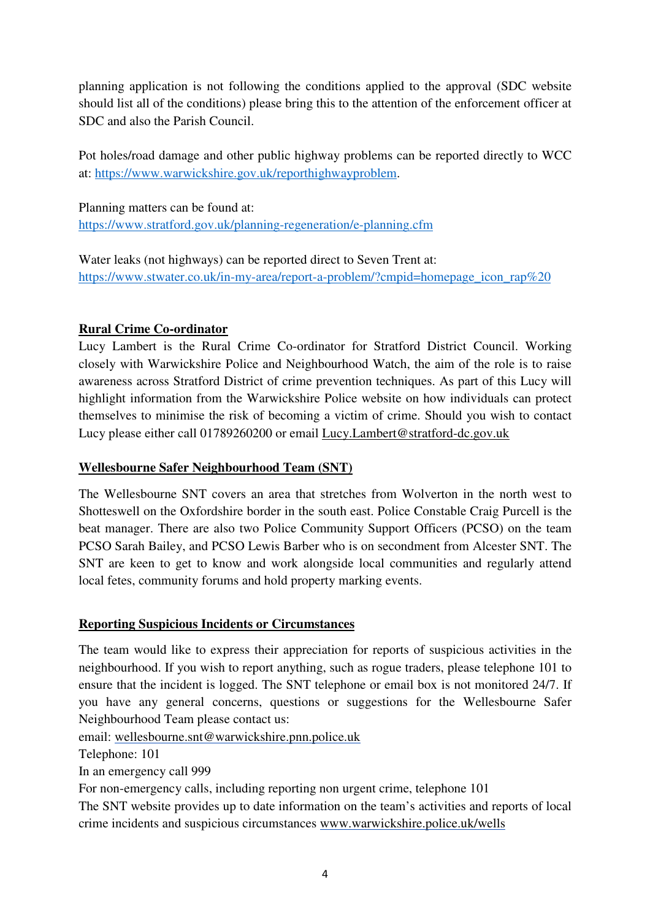planning application is not following the conditions applied to the approval (SDC website should list all of the conditions) please bring this to the attention of the enforcement officer at SDC and also the Parish Council.

Pot holes/road damage and other public highway problems can be reported directly to WCC at: https://www.warwickshire.gov.uk/reporthighwayproblem.

Planning matters can be found at: https://www.stratford.gov.uk/planning-regeneration/e-planning.cfm

Water leaks (not highways) can be reported direct to Seven Trent at: https://www.stwater.co.uk/in-my-area/report-a-problem/?cmpid=homepage\_icon\_rap%20

#### **Rural Crime Co-ordinator**

Lucy Lambert is the Rural Crime Co-ordinator for Stratford District Council. Working closely with Warwickshire Police and Neighbourhood Watch, the aim of the role is to raise awareness across Stratford District of crime prevention techniques. As part of this Lucy will highlight information from the Warwickshire Police website on how individuals can protect themselves to minimise the risk of becoming a victim of crime. Should you wish to contact Lucy please either call 01789260200 or email Lucy.Lambert@stratford-dc.gov.uk

#### **Wellesbourne Safer Neighbourhood Team (SNT)**

The Wellesbourne SNT covers an area that stretches from Wolverton in the north west to Shotteswell on the Oxfordshire border in the south east. Police Constable Craig Purcell is the beat manager. There are also two Police Community Support Officers (PCSO) on the team PCSO Sarah Bailey, and PCSO Lewis Barber who is on secondment from Alcester SNT. The SNT are keen to get to know and work alongside local communities and regularly attend local fetes, community forums and hold property marking events.

#### **Reporting Suspicious Incidents or Circumstances**

The team would like to express their appreciation for reports of suspicious activities in the neighbourhood. If you wish to report anything, such as rogue traders, please telephone 101 to ensure that the incident is logged. The SNT telephone or email box is not monitored 24/7. If you have any general concerns, questions or suggestions for the Wellesbourne Safer Neighbourhood Team please contact us:

email: wellesbourne.snt@warwickshire.pnn.police.uk

Telephone: 101

In an emergency call 999

For non-emergency calls, including reporting non urgent crime, telephone 101

The SNT website provides up to date information on the team's activities and reports of local crime incidents and suspicious circumstances www.warwickshire.police.uk/wells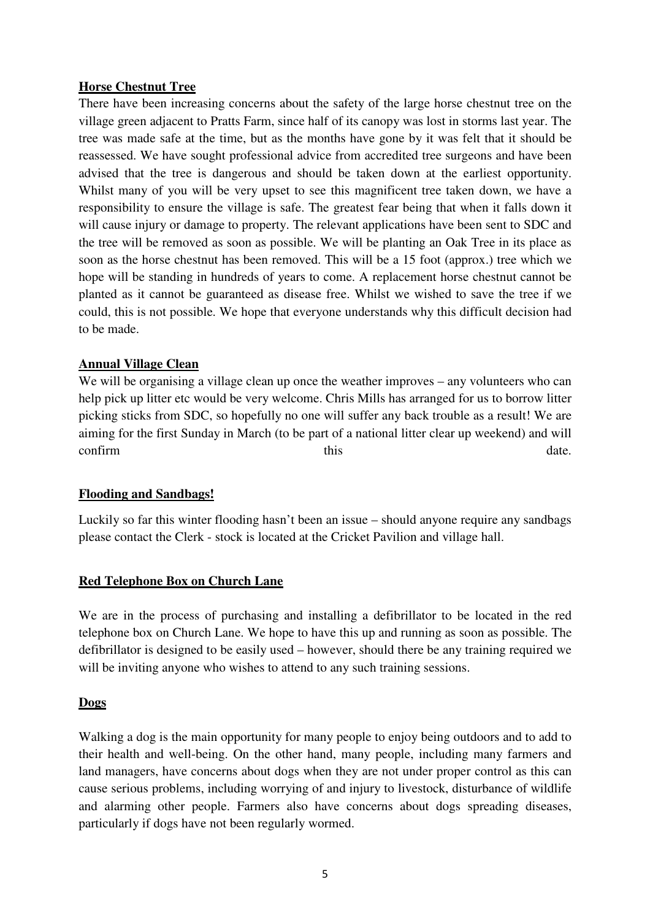#### **Horse Chestnut Tree**

There have been increasing concerns about the safety of the large horse chestnut tree on the village green adjacent to Pratts Farm, since half of its canopy was lost in storms last year. The tree was made safe at the time, but as the months have gone by it was felt that it should be reassessed. We have sought professional advice from accredited tree surgeons and have been advised that the tree is dangerous and should be taken down at the earliest opportunity. Whilst many of you will be very upset to see this magnificent tree taken down, we have a responsibility to ensure the village is safe. The greatest fear being that when it falls down it will cause injury or damage to property. The relevant applications have been sent to SDC and the tree will be removed as soon as possible. We will be planting an Oak Tree in its place as soon as the horse chestnut has been removed. This will be a 15 foot (approx.) tree which we hope will be standing in hundreds of years to come. A replacement horse chestnut cannot be planted as it cannot be guaranteed as disease free. Whilst we wished to save the tree if we could, this is not possible. We hope that everyone understands why this difficult decision had to be made.

#### **Annual Village Clean**

We will be organising a village clean up once the weather improves – any volunteers who can help pick up litter etc would be very welcome. Chris Mills has arranged for us to borrow litter picking sticks from SDC, so hopefully no one will suffer any back trouble as a result! We are aiming for the first Sunday in March (to be part of a national litter clear up weekend) and will confirm  $\qquad \qquad \text{this} \qquad \qquad \text{date.}$ 

#### **Flooding and Sandbags!**

Luckily so far this winter flooding hasn't been an issue – should anyone require any sandbags please contact the Clerk - stock is located at the Cricket Pavilion and village hall.

#### **Red Telephone Box on Church Lane**

We are in the process of purchasing and installing a defibrillator to be located in the red telephone box on Church Lane. We hope to have this up and running as soon as possible. The defibrillator is designed to be easily used – however, should there be any training required we will be inviting anyone who wishes to attend to any such training sessions.

#### **Dogs**

Walking a dog is the main opportunity for many people to enjoy being outdoors and to add to their health and well-being. On the other hand, many people, including many farmers and land managers, have concerns about dogs when they are not under proper control as this can cause serious problems, including worrying of and injury to livestock, disturbance of wildlife and alarming other people. Farmers also have concerns about dogs spreading diseases, particularly if dogs have not been regularly wormed.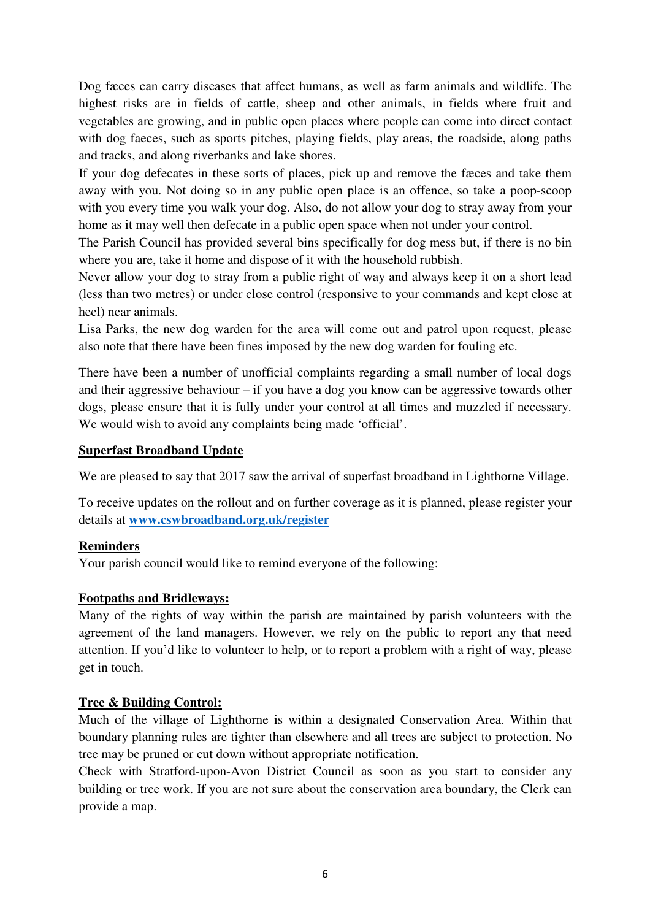Dog fæces can carry diseases that affect humans, as well as farm animals and wildlife. The highest risks are in fields of cattle, sheep and other animals, in fields where fruit and vegetables are growing, and in public open places where people can come into direct contact with dog faeces, such as sports pitches, playing fields, play areas, the roadside, along paths and tracks, and along riverbanks and lake shores.

If your dog defecates in these sorts of places, pick up and remove the fæces and take them away with you. Not doing so in any public open place is an offence, so take a poop-scoop with you every time you walk your dog. Also, do not allow your dog to stray away from your home as it may well then defecate in a public open space when not under your control.

The Parish Council has provided several bins specifically for dog mess but, if there is no bin where you are, take it home and dispose of it with the household rubbish.

Never allow your dog to stray from a public right of way and always keep it on a short lead (less than two metres) or under close control (responsive to your commands and kept close at heel) near animals.

Lisa Parks, the new dog warden for the area will come out and patrol upon request, please also note that there have been fines imposed by the new dog warden for fouling etc.

There have been a number of unofficial complaints regarding a small number of local dogs and their aggressive behaviour – if you have a dog you know can be aggressive towards other dogs, please ensure that it is fully under your control at all times and muzzled if necessary. We would wish to avoid any complaints being made 'official'.

# **Superfast Broadband Update**

We are pleased to say that 2017 saw the arrival of superfast broadband in Lighthorne Village.

To receive updates on the rollout and on further coverage as it is planned, please register your details at **www.cswbroadband.org.uk/register**

#### **Reminders**

Your parish council would like to remind everyone of the following:

#### **Footpaths and Bridleways:**

Many of the rights of way within the parish are maintained by parish volunteers with the agreement of the land managers. However, we rely on the public to report any that need attention. If you'd like to volunteer to help, or to report a problem with a right of way, please get in touch.

# **Tree & Building Control:**

Much of the village of Lighthorne is within a designated Conservation Area. Within that boundary planning rules are tighter than elsewhere and all trees are subject to protection. No tree may be pruned or cut down without appropriate notification.

Check with Stratford-upon-Avon District Council as soon as you start to consider any building or tree work. If you are not sure about the conservation area boundary, the Clerk can provide a map.